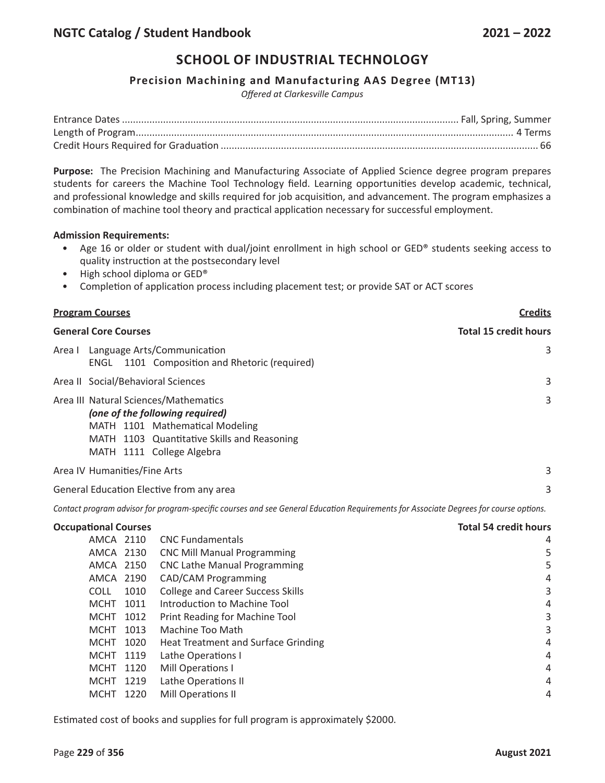#### **Precision Machining and Manufacturing AAS Degree (MT13)**

*Offered at Clarkesville Campus*

**Purpose:** The Precision Machining and Manufacturing Associate of Applied Science degree program prepares students for careers the Machine Tool Technology field. Learning opportunities develop academic, technical, and professional knowledge and skills required for job acquisition, and advancement. The program emphasizes a combination of machine tool theory and practical application necessary for successful employment.

#### **Admission Requirements:**

- Age 16 or older or student with dual/joint enrollment in high school or GED® students seeking access to quality instruction at the postsecondary level
- High school diploma or GED®
- Completion of application process including placement test; or provide SAT or ACT scores

| <b>Program Courses</b>                                                                                                                                                                  | <b>Credits</b>               |
|-----------------------------------------------------------------------------------------------------------------------------------------------------------------------------------------|------------------------------|
| <b>General Core Courses</b>                                                                                                                                                             | <b>Total 15 credit hours</b> |
| Language Arts/Communication<br>Area I<br>1101 Composition and Rhetoric (required)<br>ENGL                                                                                               | 3                            |
| Area II Social/Behavioral Sciences                                                                                                                                                      | 3                            |
| Area III Natural Sciences/Mathematics<br>(one of the following required)<br>MATH 1101 Mathematical Modeling<br>MATH 1103 Quantitative Skills and Reasoning<br>MATH 1111 College Algebra | 3                            |
| Area IV Humanities/Fine Arts                                                                                                                                                            | 3                            |
| General Education Elective from any area                                                                                                                                                | 3                            |

Contact program advisor for program-specific courses and see General Education Requirements for Associate Degrees for course options.

| <b>Occupational Courses</b> |                                            | <b>Total 54 credit hours</b> |
|-----------------------------|--------------------------------------------|------------------------------|
| AMCA 2110                   | <b>CNC Fundamentals</b>                    | 4                            |
| AMCA 2130                   | <b>CNC Mill Manual Programming</b>         | 5                            |
| AMCA 2150                   | <b>CNC Lathe Manual Programming</b>        | 5                            |
| AMCA 2190                   | <b>CAD/CAM Programming</b>                 | 4                            |
| COLL<br>1010                | <b>College and Career Success Skills</b>   | 3                            |
| MCHT<br>1011                | Introduction to Machine Tool               | 4                            |
| MCHT 1012                   | Print Reading for Machine Tool             | 3                            |
| <b>MCHT</b><br>1013         | Machine Too Math                           | 3                            |
| 1020<br><b>MCHT</b>         | <b>Heat Treatment and Surface Grinding</b> | 4                            |
| MCHT 1119                   | Lathe Operations I                         | 4                            |
| MCHT<br>1120                | Mill Operations I                          | 4                            |
| MCHT 1219                   | Lathe Operations II                        | 4                            |
| <b>MCHT</b><br>1220         | Mill Operations II                         | 4                            |
|                             |                                            |                              |

Estimated cost of books and supplies for full program is approximately \$2000.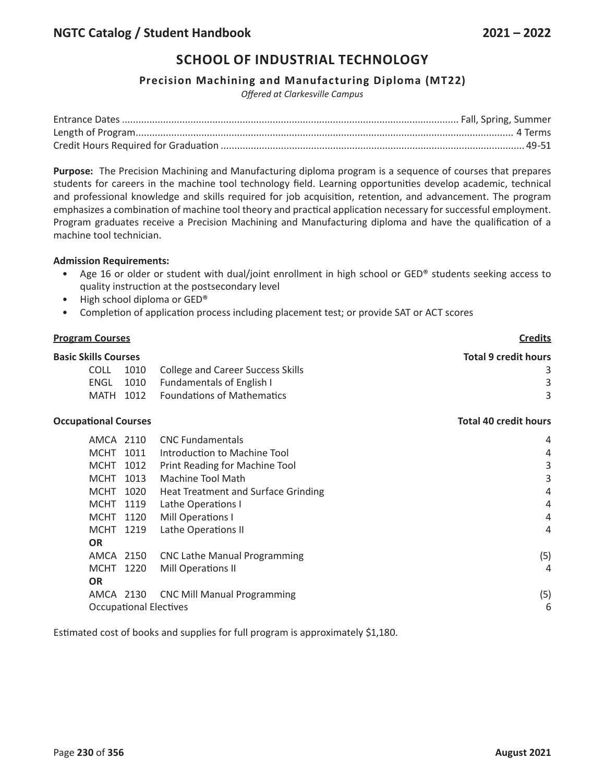#### **Precision Machining and Manufacturing Diploma (MT22)**

*Offered at Clarkesville Campus*

**Purpose:** The Precision Machining and Manufacturing diploma program is a sequence of courses that prepares students for careers in the machine tool technology field. Learning opportunities develop academic, technical and professional knowledge and skills required for job acquisition, retention, and advancement. The program emphasizes a combination of machine tool theory and practical application necessary for successful employment. Program graduates receive a Precision Machining and Manufacturing diploma and have the qualification of a machine tool technician.

#### **Admission Requirements:**

- Age 16 or older or student with dual/joint enrollment in high school or GED® students seeking access to quality instruction at the postsecondary level
- High school diploma or GED®
- Completion of application process including placement test; or provide SAT or ACT scores

| <b>Program Courses</b>      |                               |                                          | <b>Credits</b>               |
|-----------------------------|-------------------------------|------------------------------------------|------------------------------|
| <b>Basic Skills Courses</b> |                               |                                          | <b>Total 9 credit hours</b>  |
| <b>COLL</b>                 | 1010                          | <b>College and Career Success Skills</b> | 3                            |
| <b>ENGL</b>                 | 1010                          | <b>Fundamentals of English I</b>         | 3                            |
| MATH                        | 1012                          | <b>Foundations of Mathematics</b>        | 3                            |
| <b>Occupational Courses</b> |                               |                                          | <b>Total 40 credit hours</b> |
|                             | AMCA 2110                     | <b>CNC Fundamentals</b>                  | 4                            |
| <b>MCHT</b>                 | 1011                          | Introduction to Machine Tool             | 4                            |
| <b>MCHT</b>                 | 1012                          | Print Reading for Machine Tool           | 3                            |
| <b>MCHT</b>                 | 1013                          | Machine Tool Math                        | 3                            |
| <b>MCHT</b>                 | 1020                          | Heat Treatment and Surface Grinding      | 4                            |
| <b>MCHT</b>                 | 1119                          | Lathe Operations I                       | 4                            |
| <b>MCHT</b>                 | 1120                          | Mill Operations I                        | 4                            |
| <b>MCHT</b>                 | 1219                          | Lathe Operations II                      | 4                            |
| <b>OR</b>                   |                               |                                          |                              |
|                             | AMCA 2150                     | <b>CNC Lathe Manual Programming</b>      | (5)                          |
| <b>MCHT</b>                 | 1220                          | Mill Operations II                       | 4                            |
| <b>OR</b>                   |                               |                                          |                              |
|                             | AMCA 2130                     | <b>CNC Mill Manual Programming</b>       | (5)                          |
|                             | <b>Occupational Electives</b> |                                          | 6                            |

Estimated cost of books and supplies for full program is approximately \$1,180.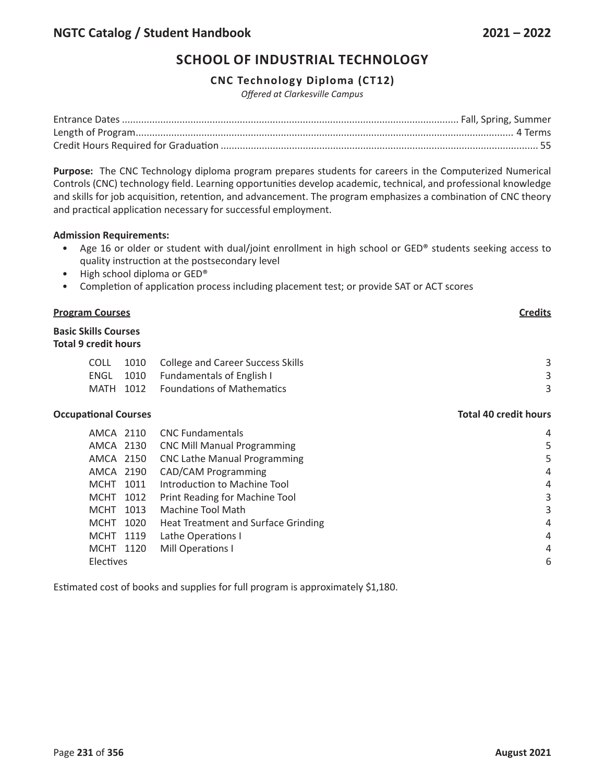### **CNC Technology Diploma (CT12)**

*Offered at Clarkesville Campus*

**Purpose:** The CNC Technology diploma program prepares students for careers in the Computerized Numerical Controls (CNC) technology field. Learning opportunities develop academic, technical, and professional knowledge and skills for job acquisition, retention, and advancement. The program emphasizes a combination of CNC theory and practical application necessary for successful employment.

#### **Admission Requirements:**

- Age 16 or older or student with dual/joint enrollment in high school or GED® students seeking access to quality instruction at the postsecondary level
- High school diploma or GED®
- Completion of application process including placement test; or provide SAT or ACT scores

#### **Program Courses Credits**

# **Basic Skills Courses Total 9 credit hours** COLL 1010 College and Career Success Skills 3 3 ENGL 1010 Fundamentals of English I 3 MATH 1012 Foundations of Mathematics 3

#### **Occupational Courses Total 40 credit hours**

| AMCA 2110           | <b>CNC Fundamentals</b>             | 4              |
|---------------------|-------------------------------------|----------------|
| AMCA 2130           | <b>CNC Mill Manual Programming</b>  | 5              |
| AMCA 2150           | <b>CNC Lathe Manual Programming</b> | 5              |
| AMCA 2190           | <b>CAD/CAM Programming</b>          | 4              |
| 1011<br>MCHT        | Introduction to Machine Tool        | $\overline{4}$ |
| 1012<br>MCHT        | Print Reading for Machine Tool      | 3              |
| 1013<br>MCHT        | Machine Tool Math                   | 3              |
| 1020<br><b>MCHT</b> | Heat Treatment and Surface Grinding | $\overline{4}$ |
| MCHT 1119           | Lathe Operations I                  | $\overline{4}$ |
| MCHT 1120           | Mill Operations I                   | 4              |
| <b>Electives</b>    |                                     | 6              |
|                     |                                     |                |

Estimated cost of books and supplies for full program is approximately \$1,180.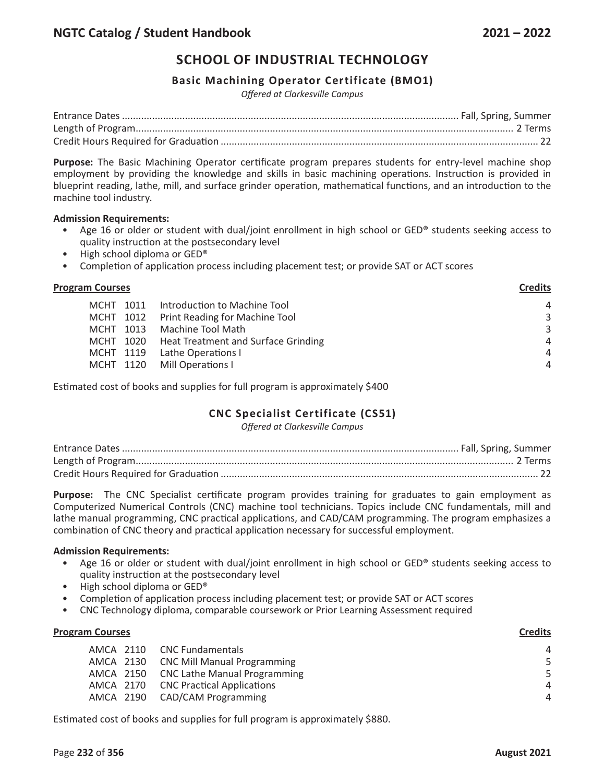#### **Basic Machining Operator Certificate (BMO1)**

*Offered at Clarkesville Campus*

**Purpose:** The Basic Machining Operator certificate program prepares students for entry-level machine shop employment by providing the knowledge and skills in basic machining operations. Instruction is provided in blueprint reading, lathe, mill, and surface grinder operation, mathematical functions, and an introduction to the machine tool industry.

#### **Admission Requirements:**

- Age 16 or older or student with dual/joint enrollment in high school or GED® students seeking access to quality instruction at the postsecondary level
- High school diploma or GED®
- Completion of application process including placement test; or provide SAT or ACT scores

#### **Program Courses Credits**

| MCHT 1011 Introduction to Machine Tool                                  | $\overline{4}$ |
|-------------------------------------------------------------------------|----------------|
| MCHT 1012 Print Reading for Machine Tool<br>MCHT 1013 Machine Tool Math | 3<br>3         |
| MCHT 1020 Heat Treatment and Surface Grinding                           | $\overline{4}$ |
| MCHT 1119 Lathe Operations I                                            | $\overline{4}$ |
| MCHT 1120 Mill Operations I                                             | $\overline{A}$ |

Estimated cost of books and supplies for full program is approximately \$400

# **CNC Specialist Certificate (CS51)**

*Offered at Clarkesville Campus*

**Purpose:** The CNC Specialist certificate program provides training for graduates to gain employment as Computerized Numerical Controls (CNC) machine tool technicians. Topics include CNC fundamentals, mill and lathe manual programming, CNC practical applications, and CAD/CAM programming. The program emphasizes a combination of CNC theory and practical application necessary for successful employment.

#### **Admission Requirements:**

- Age 16 or older or student with dual/joint enrollment in high school or GED® students seeking access to quality instruction at the postsecondary level
- High school diploma or GED®
- Completion of application process including placement test; or provide SAT or ACT scores
- CNC Technology diploma, comparable coursework or Prior Learning Assessment required

| <b>Program Courses</b> |                                        | <b>Credits</b> |
|------------------------|----------------------------------------|----------------|
|                        | AMCA 2110 CNC Fundamentals             | 4              |
|                        | AMCA 2130 CNC Mill Manual Programming  | 5              |
|                        | AMCA 2150 CNC Lathe Manual Programming | 5              |
|                        | AMCA 2170 CNC Practical Applications   | 4              |
|                        | AMCA 2190 CAD/CAM Programming          | 4              |
|                        |                                        |                |

Estimated cost of books and supplies for full program is approximately \$880.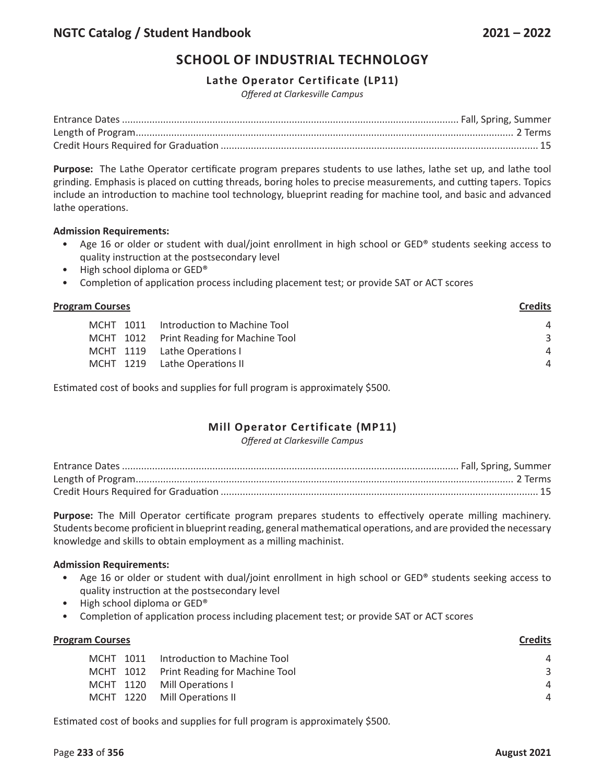#### **Lathe Operator Certificate (LP11)**

*Offered at Clarkesville Campus*

**Purpose:** The Lathe Operator certificate program prepares students to use lathes, lathe set up, and lathe tool grinding. Emphasis is placed on cutting threads, boring holes to precise measurements, and cutting tapers. Topics include an introduction to machine tool technology, blueprint reading for machine tool, and basic and advanced lathe operations.

#### **Admission Requirements:**

- Age 16 or older or student with dual/joint enrollment in high school or GED® students seeking access to quality instruction at the postsecondary level
- High school diploma or GED®
- Completion of application process including placement test; or provide SAT or ACT scores

| <b>Program Courses</b> |                                          | <b>Credits</b> |
|------------------------|------------------------------------------|----------------|
| MCHT 1011              | Introduction to Machine Tool             | 4              |
|                        | MCHT 1012 Print Reading for Machine Tool | 3              |
|                        | MCHT 1119 Lathe Operations I             | $\overline{4}$ |
|                        | MCHT 1219 Lathe Operations II            | 4              |
|                        |                                          |                |

Estimated cost of books and supplies for full program is approximately \$500.

# **Mill Operator Certificate (MP11)**

*Offered at Clarkesville Campus*

**Purpose:** The Mill Operator certificate program prepares students to effectively operate milling machinery. Students become proficient in blueprint reading, general mathematical operations, and are provided the necessary knowledge and skills to obtain employment as a milling machinist.

#### **Admission Requirements:**

- Age 16 or older or student with dual/joint enrollment in high school or GED® students seeking access to quality instruction at the postsecondary level
- High school diploma or GED®
- Completion of application process including placement test; or provide SAT or ACT scores

| <b>Program Courses</b> |                                          | <b>Credits</b> |
|------------------------|------------------------------------------|----------------|
|                        | MCHT 1011 Introduction to Machine Tool   | $\overline{A}$ |
|                        | MCHT 1012 Print Reading for Machine Tool | 3              |
|                        | MCHT 1120 Mill Operations I              | Δ              |
|                        | MCHT 1220 Mill Operations II             | $\overline{A}$ |
|                        |                                          |                |

Estimated cost of books and supplies for full program is approximately \$500.